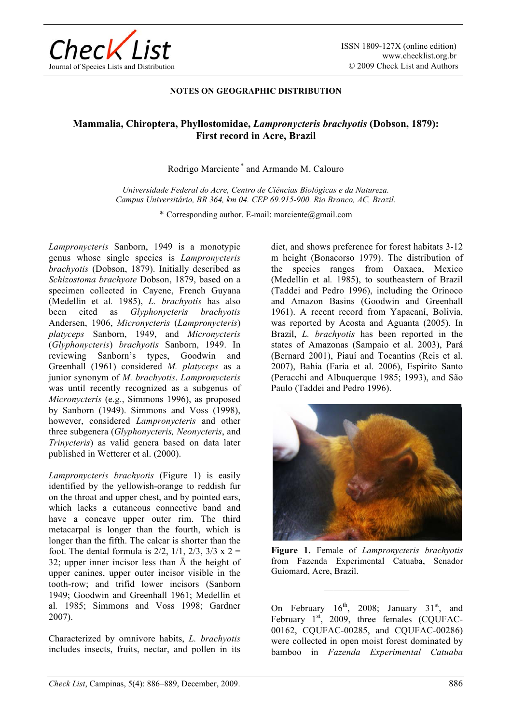

## **NOTES ON GEOGRAPHIC DISTRIBUTION**

## **Mammalia, Chiroptera, Phyllostomidae,** *Lampronycteris brachyotis* **(Dobson, 1879): First record in Acre, Brazil**

## Rodrigo Marciente \* and Armando M. Calouro

*Universidade Federal do Acre, Centro de Ciências Biológicas e da Natureza. Campus Universitário, BR 364, km 04. CEP 69.915-900. Rio Branco, AC, Brazil.* 

\* Corresponding author. E-mail: marciente@gmail.com

*Lampronycteris* Sanborn, 1949 is a monotypic genus whose single species is *Lampronycteris brachyotis* (Dobson, 1879). Initially described as *Schizostoma brachyote* Dobson, 1879, based on a specimen collected in Cayene, French Guyana (Medellín et al*.* 1985), *L. brachyotis* has also been cited as *Glyphonycteris brachyotis*  Andersen, 1906, *Micronycteris* (*Lampronycteris*) *platyceps* Sanborn, 1949, and *Micronycteris*  (*Glyphonycteris*) *brachyotis* Sanborn, 1949. In reviewing Sanborn's types, Goodwin and Greenhall (1961) considered *M. platyceps* as a junior synonym of *M. brachyotis*. *Lampronycteris*  was until recently recognized as a subgenus of *Micronycteris* (e.g., Simmons 1996), as proposed by Sanborn (1949). Simmons and Voss (1998), however, considered *Lampronycteris* and other three subgenera (*Glyphonycteris, Neonycteris*, and *Trinycteris*) as valid genera based on data later published in Wetterer et al. (2000).

*Lampronycteris brachyotis* (Figure 1) is easily identified by the yellowish-orange to reddish fur on the throat and upper chest, and by pointed ears, which lacks a cutaneous connective band and have a concave upper outer rim. The third metacarpal is longer than the fourth, which is longer than the fifth. The calcar is shorter than the foot. The dental formula is  $2/2$ ,  $1/1$ ,  $2/3$ ,  $3/3$  x  $2 =$ 32; upper inner incisor less than  $\bar{A}$  the height of upper canines, upper outer incisor visible in the tooth-row; and trifid lower incisors (Sanborn 1949; Goodwin and Greenhall 1961; Medellín et al*.* 1985; Simmons and Voss 1998; Gardner 2007).

Characterized by omnivore habits, *L. brachyotis* includes insects, fruits, nectar, and pollen in its

diet, and shows preference for forest habitats 3-12 m height (Bonacorso 1979). The distribution of the species ranges from Oaxaca, Mexico (Medellín et al*.* 1985), to southeastern of Brazil (Taddei and Pedro 1996), including the Orinoco and Amazon Basins (Goodwin and Greenhall 1961). A recent record from Yapacaní, Bolivia, was reported by Acosta and Aguanta (2005). In Brazil, *L. brachyotis* has been reported in the states of Amazonas (Sampaio et al. 2003), Pará (Bernard 2001), Piauí and Tocantins (Reis et al. 2007), Bahia (Faria et al. 2006), Espírito Santo (Peracchi and Albuquerque 1985; 1993), and São Paulo (Taddei and Pedro 1996).



**Figure 1.** Female of *Lampronycteris brachyotis* from Fazenda Experimental Catuaba, Senador Guiomard, Acre, Brazil.

**—————————** 

On February  $16^{th}$ , 2008; January  $31^{st}$ , and February  $1<sup>st</sup>$ , 2009, three females (COUFAC-00162, CQUFAC-00285, and CQUFAC-00286) were collected in open moist forest dominated by bamboo in *Fazenda Experimental Catuaba*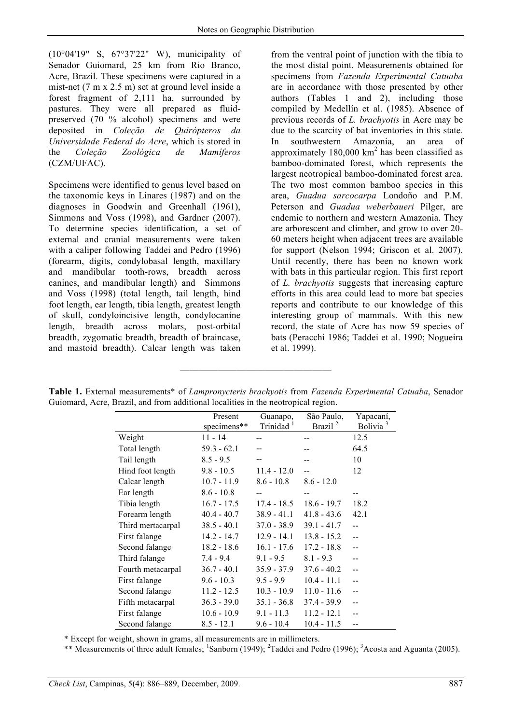(10°04'19" S, 67°37'22" W), municipality of Senador Guiomard, 25 km from Rio Branco, Acre, Brazil. These specimens were captured in a mist-net (7 m x 2.5 m) set at ground level inside a forest fragment of 2,111 ha, surrounded by pastures. They were all prepared as fluidpreserved (70 % alcohol) specimens and were deposited in *Coleção de Quirópteros da Universidade Federal do Acre*, which is stored in the *Coleção Zoológica de Mamíferos* (CZM/UFAC).

Specimens were identified to genus level based on the taxonomic keys in Linares (1987) and on the diagnoses in Goodwin and Greenhall (1961), Simmons and Voss (1998), and Gardner (2007). To determine species identification, a set of external and cranial measurements were taken with a caliper following Taddei and Pedro (1996) (forearm, digits, condylobasal length, maxillary and mandibular tooth-rows, breadth across canines, and mandibular length) and Simmons and Voss (1998) (total length, tail length, hind foot length, ear length, tibia length, greatest length of skull, condyloincisive length, condylocanine length, breadth across molars, post-orbital breadth, zygomatic breadth, breadth of braincase, and mastoid breadth). Calcar length was taken from the ventral point of junction with the tibia to the most distal point. Measurements obtained for specimens from *Fazenda Experimental Catuaba* are in accordance with those presented by other authors (Tables 1 and 2), including those compiled by Medellín et al. (1985). Absence of previous records of *L. brachyotis* in Acre may be due to the scarcity of bat inventories in this state. In southwestern Amazonia, an area of approximately  $180,000$  km<sup>2</sup> has been classified as bamboo-dominated forest, which represents the largest neotropical bamboo-dominated forest area. The two most common bamboo species in this area, *Guadua sarcocarpa* Londoño and P.M. Peterson and *Guadua weberbaueri* Pilger, are endemic to northern and western Amazonia. They are arborescent and climber, and grow to over 20- 60 meters height when adjacent trees are available for support (Nelson 1994; Griscon et al. 2007). Until recently, there has been no known work with bats in this particular region. This first report of *L. brachyotis* suggests that increasing capture efforts in this area could lead to more bat species reports and contribute to our knowledge of this interesting group of mammals. With this new record, the state of Acre has now 59 species of bats (Peracchi 1986; Taddei et al. 1990; Nogueira et al. 1999).

|  | Table 1. External measurements* of Lampronycteris brachyotis from Fazenda Experimental Catuaba, Senador |  |  |  |
|--|---------------------------------------------------------------------------------------------------------|--|--|--|
|  | Guiomard, Acre, Brazil, and from additional localities in the neotropical region.                       |  |  |  |

**————————————————** 

|                   | Present       | Guanapo,      | São Paulo,          | Yapacaní,            |
|-------------------|---------------|---------------|---------------------|----------------------|
|                   | specimens**   | Trinidad      | Brazil <sup>2</sup> | Bolivia <sup>3</sup> |
| Weight            | $11 - 14$     |               |                     | 12.5                 |
| Total length      | $59.3 - 62.1$ |               |                     | 64.5                 |
| Tail length       | $8.5 - 9.5$   |               |                     | 10                   |
| Hind foot length  | $9.8 - 10.5$  | $11.4 - 12.0$ |                     | 12                   |
| Calcar length     | $10.7 - 11.9$ | $8.6 - 10.8$  | $8.6 - 12.0$        |                      |
| Ear length        | $8.6 - 10.8$  |               | $- -$               | $- -$                |
| Tibia length      | $16.7 - 17.5$ | $17.4 - 18.5$ | $18.6 - 19.7$       | 18.2                 |
| Forearm length    | $40.4 - 40.7$ | $38.9 - 41.1$ | $41.8 - 43.6$       | 42.1                 |
| Third mertacarpal | $38.5 - 40.1$ | $37.0 - 38.9$ | $39.1 - 41.7$       | L.                   |
| First falange     | $14.2 - 14.7$ | $12.9 - 14.1$ | $13.8 - 15.2$       | $-$                  |
| Second falange    | $18.2 - 18.6$ | $16.1 - 17.6$ | $17.2 - 18.8$       | --                   |
| Third falange     | $7.4 - 9.4$   | $9.1 - 9.5$   | $8.1 - 9.3$         | $\overline{a}$       |
| Fourth metacarpal | $36.7 - 40.1$ | $35.9 - 37.9$ | $37.6 - 40.2$       | $\overline{a}$       |
| First falange     | $9.6 - 10.3$  | $9.5 - 9.9$   | $10.4 - 11.1$       |                      |
| Second falange    | $11.2 - 12.5$ | $10.3 - 10.9$ | $11.0 - 11.6$       | $\overline{a}$       |
| Fifth metacarpal  | $36.3 - 39.0$ | $35.1 - 36.8$ | $37.4 - 39.9$       | $\overline{a}$       |
| First falange     | $10.6 - 10.9$ | $9.1 - 11.3$  | $11.2 - 12.1$       |                      |
| Second falange    | $8.5 - 12.1$  | $9.6 - 10.4$  | $10.4 - 11.5$       |                      |

\* Except for weight, shown in grams, all measurements are in millimeters.

\*\* Measurements of three adult females; <sup>1</sup>Sanborn (1949); <sup>2</sup>Taddei and Pedro (1996); <sup>3</sup>Acosta and Aguanta (2005).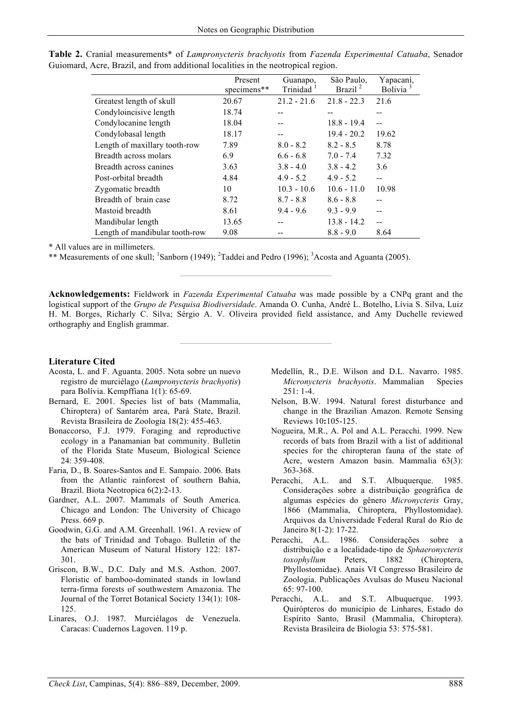|                                | Present<br>specimens** | Guanapo,<br>Trinidad | São Paulo,<br>Brazil <sup>2</sup> | Yapacaní,<br>Bolivia <sup>3</sup> |
|--------------------------------|------------------------|----------------------|-----------------------------------|-----------------------------------|
| Greatest length of skull       | 20.67                  | $21.2 - 21.6$        | $21.8 - 22.3$                     | 21.6                              |
| Condyloincisive length         | 18.74                  |                      | --                                | --                                |
| Condylocanine length           | 18.04                  |                      | $18.8 - 19.4$                     | $-$                               |
| Condylobasal length            | 18.17                  |                      | $19.4 - 20.2$                     | 19.62                             |
| Length of maxillary tooth-row  | 7.89                   | $8.0 - 8.2$          | $8.2 - 8.5$                       | 8.78                              |
| Breadth across molars          | 6.9                    | $6.6 - 6.8$          | $7.0 - 7.4$                       | 7.32                              |
| Breadth across canines         | 3.63                   | $3.8 - 4.0$          | $3.8 - 4.2$                       | 3.6                               |
| Post-orbital breadth           | 4.84                   | $4.9 - 5.2$          | $4.9 - 5.2$                       | $-$                               |
| Zygomatic breadth              | 10                     | $10.3 - 10.6$        | $10.6 - 11.0$                     | 10.98                             |
| Breadth of brain case          | 8.72                   | $8.7 - 8.8$          | $8.6 - 8.8$                       |                                   |
| Mastoid breadth                | 8.61                   | $9.4 - 9.6$          | $9.3 - 9.9$                       |                                   |
| Mandibular length              | 13.65                  |                      | $13.8 - 14.2$                     | --                                |
| Length of mandibular tooth-row | 9.08                   |                      | $8.8 - 9.0$                       | 8.64                              |

**Table 2.** Cranial measurements\* of *Lampronycteris brachyotis* from *Fazenda Experimental Catuaba*, Senador Guiomard, Acre, Brazil, and from additional localities in the neotropical region.

\* All values are in millimeters.

\*\* Measurements of one skull; <sup>1</sup>Sanborn (1949); <sup>2</sup>Taddei and Pedro (1996); <sup>3</sup>Acosta and Aguanta (2005).

**Acknowledgements:** Fieldwork in *Fazenda Experimental Catuaba* was made possible by a CNPq grant and the logistical support of the *Grupo de Pesquisa Biodiversidade*. Amanda O. Cunha, André L. Botelho, Lívia S. Silva, Luiz H. M. Borges, Richarly C. Silva; Sérgio A. V. Oliveira provided field assistance, and Amy Duchelle reviewed orthography and English grammar.

**————————————————** 

**————————————————** 

## **Literature Cited**

- Acosta, L. and F. Aguanta. 2005. Nota sobre un nuevo registro de murciélago (*Lampronycteris brachyotis*) para Bolívia. Kempffiana 1(1): 65-69.
- Bernard, E. 2001. Species list of bats (Mammalia, Chiroptera) of Santarém area, Pará State, Brazil. Revista Brasileira de Zoologia 18(2): 455-463.
- Bonaccorso, F.J. 1979. Foraging and reproductive ecology in a Panamanian bat community. Bulletin of the Florida State Museum, Biological Science  $24.359 - 408$
- Faria, D., B. Soares-Santos and E. Sampaio. 2006. Bats from the Atlantic rainforest of southern Bahia, Brazil. Biota Neotropica 6(2):2-13.
- Gardner, A.L. 2007. Mammals of South America. Chicago and London: The University of Chicago Press. 669 p.
- Goodwin, G.G. and A.M. Greenhall. 1961. A review of the bats of Trinidad and Tobago. Bulletin of the American Museum of Natural History 122: 187- 301.
- Griscon, B.W., D.C. Daly and M.S. Asthon. 2007. Floristic of bamboo-dominated stands in lowland terra-firma forests of southwestern Amazonia. The Journal of the Torret Botanical Society 134(1): 108- 125.
- Linares, O.J. 1987. Murciélagos de Venezuela. Caracas: Cuadernos Lagoven. 119 p.
- Medellín, R., D.E. Wilson and D.L. Navarro. 1985. *Micronycteris brachyotis*. Mammalian Species 251: 1-4.
- Nelson, B.W. 1994. Natural forest disturbance and change in the Brazilian Amazon. Remote Sensing Reviews 10**:**105-125.
- Nogueira, M.R., A. Pol and A.L. Peracchi. 1999. New records of bats from Brazil with a list of additional species for the chiropteran fauna of the state of Acre, western Amazon basin. Mammalia 63(3): 363-368.
- Peracchi, A.L. and S.T. Albuquerque. 1985. Considerações sobre a distribuição geográfica de algumas espécies do gênero *Micronycteris* Gray, 1866 (Mammalia, Chiroptera, Phyllostomidae). Arquivos da Universidade Federal Rural do Rio de Janeiro 8(1-2): 17-22.
- Peracchi, A.L. 1986. Considerações sobre a distribuição e a localidade-tipo de *Sphaeronycteris toxophyllum* Peters, 1882 (Chiroptera, Phyllostomidae). Anais VI Congresso Brasileiro de Zoologia. Publicações Avulsas do Museu Nacional 65: 97-100.
- Peracchi, A.L. and S.T. Albuquerque. 1993. Quirópteros do município de Linhares, Estado do Espírito Santo, Brasil (Mammalia, Chiroptera). Revista Brasileira de Biologia 53: 575-581.